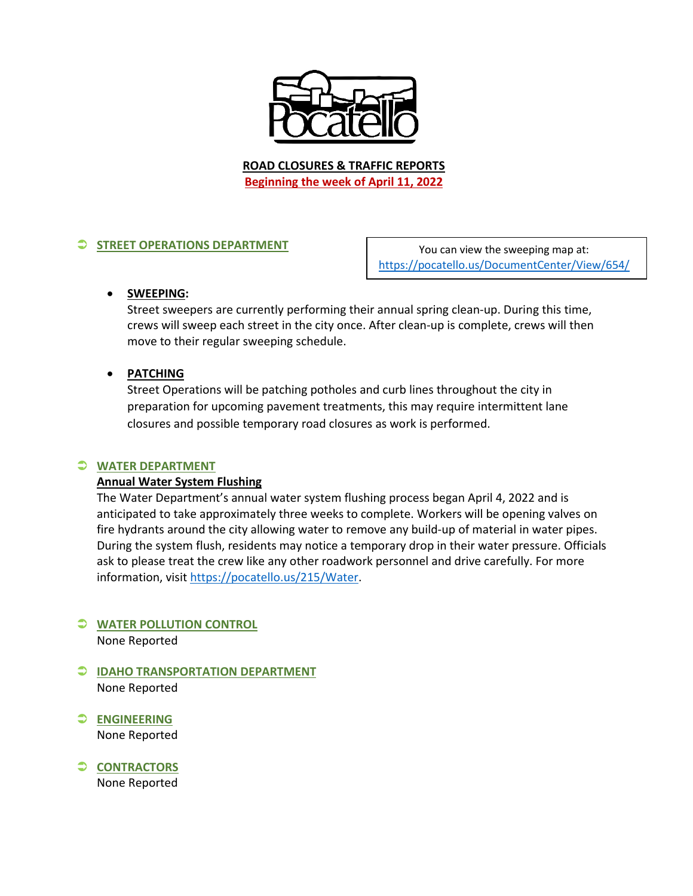

**ROAD CLOSURES & TRAFFIC REPORTS Beginning the week of April 11, 2022**

# **STREET OPERATIONS DEPARTMENT**

You can view the sweeping map at: <https://pocatello.us/DocumentCenter/View/654/>

#### • **SWEEPING:**

Street sweepers are currently performing their annual spring clean-up. During this time, crews will sweep each street in the city once. After clean-up is complete, crews will then move to their regular sweeping schedule.

## • **PATCHING**

Street Operations will be patching potholes and curb lines throughout the city in preparation for upcoming pavement treatments, this may require intermittent lane closures and possible temporary road closures as work is performed.

## **WATER DEPARTMENT**

## **Annual Water System Flushing**

The Water Department's annual water system flushing process began April 4, 2022 and is anticipated to take approximately three weeks to complete. Workers will be opening valves on fire hydrants around the city allowing water to remove any build-up of material in water pipes. During the system flush, residents may notice a temporary drop in their water pressure. Officials ask to please treat the crew like any other roadwork personnel and drive carefully. For more information, visit [https://pocatello.us/215/Water.](https://pocatello.us/215/Water?fbclid=IwAR1Ks6TlbigvoE0NuNlvkURsuP3Sp_Jkt2n8zL-O3MrcGPD6F1oDfpL4vSM)

## **WATER POLLUTION CONTROL** None Reported

- **IDAHO TRANSPORTATION DEPARTMENT** None Reported
- **ENGINEERING** None Reported
- **CONTRACTORS** None Reported